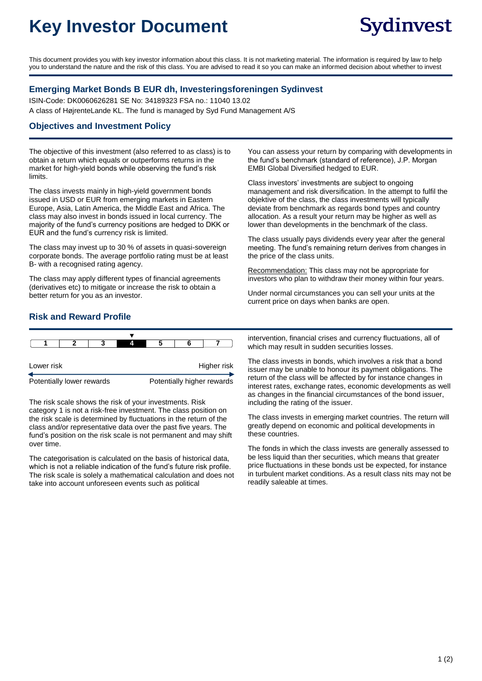# **Key Investor Document**

This document provides you with key investor information about this class. It is not marketing material. The information is required by law to help you to understand the nature and the risk of this class. You are advised to read it so you can make an informed decision about whether to invest

#### **Emerging Market Bonds B EUR dh, Investeringsforeningen Sydinvest**

ISIN-Code: DK0060626281 SE No: 34189323 FSA no.: 11040 13.02 A class of HøjrenteLande KL. The fund is managed by Syd Fund Management A/S

#### **Objectives and Investment Policy**

The objective of this investment (also referred to as class) is to obtain a return which equals or outperforms returns in the market for high-yield bonds while observing the fund's risk limits.

The class invests mainly in high-yield government bonds issued in USD or EUR from emerging markets in Eastern Europe, Asia, Latin America, the Middle East and Africa. The class may also invest in bonds issued in local currency. The majority of the fund's currency positions are hedged to DKK or EUR and the fund's currency risk is limited.

The class may invest up to 30 % of assets in quasi-sovereign corporate bonds. The average portfolio rating must be at least B- with a recognised rating agency.

The class may apply different types of financial agreements (derivatives etc) to mitigate or increase the risk to obtain a better return for you as an investor.

You can assess your return by comparing with developments in the fund's benchmark (standard of reference), J.P. Morgan EMBI Global Diversified hedged to EUR.

Class investors' investments are subject to ongoing management and risk diversification. In the attempt to fulfil the objektive of the class, the class investments will typically deviate from benchmark as regards bond types and country allocation. As a result your return may be higher as well as lower than developments in the benchmark of the class.

The class usually pays dividends every year after the general meeting. The fund's remaining return derives from changes in the price of the class units.

Recommendation: This class may not be appropriate for investors who plan to withdraw their money within four years.

Under normal circumstances you can sell your units at the current price on days when banks are open.

### **Risk and Reward Profile**

|                           |  |  | Δ |                            |  |  |  |
|---------------------------|--|--|---|----------------------------|--|--|--|
| Lower risk                |  |  |   | Higher risk                |  |  |  |
| Potentially lower rewards |  |  |   | Potentially higher rewards |  |  |  |

The risk scale shows the risk of your investments. Risk category 1 is not a risk-free investment. The class position on the risk scale is determined by fluctuations in the return of the class and/or representative data over the past five years. The fund's position on the risk scale is not permanent and may shift over time.

The categorisation is calculated on the basis of historical data, which is not a reliable indication of the fund's future risk profile. The risk scale is solely a mathematical calculation and does not take into account unforeseen events such as political

intervention, financial crises and currency fluctuations, all of which may result in sudden securities losses.

The class invests in bonds, which involves a risk that a bond issuer may be unable to honour its payment obligations. The return of the class will be affected by for instance changes in interest rates, exchange rates, economic developments as well as changes in the financial circumstances of the bond issuer, including the rating of the issuer.

The class invests in emerging market countries. The return will greatly depend on economic and political developments in these countries.

The fonds in which the class invests are generally assessed to be less liquid than ther securities, which means that greater price fluctuations in these bonds ust be expected, for instance in turbulent market conditions. As a result class nits may not be readily saleable at times.